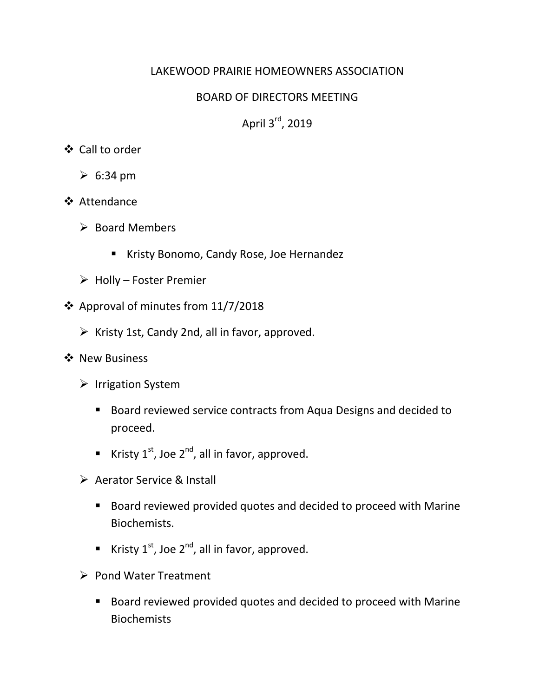# LAKEWOOD PRAIRIE HOMEOWNERS ASSOCIATION

# BOARD OF DIRECTORS MEETING

April 3<sup>rd</sup>, 2019

# Call to order

- $\geq 6:34 \text{ pm}$
- ❖ Attendance
	- $\triangleright$  Board Members
		- Kristy Bonomo, Candy Rose, Joe Hernandez
	- $\triangleright$  Holly Foster Premier
- ❖ Approval of minutes from  $11/7/2018$ 
	- $\triangleright$  Kristy 1st, Candy 2nd, all in favor, approved.
- ❖ New Business
	- $\triangleright$  Irrigation System
		- Board reviewed service contracts from Aqua Designs and decided to proceed.
		- Kristy  $1^{st}$ , Joe  $2^{nd}$ , all in favor, approved.
	- ▶ Aerator Service & Install
		- Board reviewed provided quotes and decided to proceed with Marine Biochemists.
		- Kristy  $1^{st}$ , Joe  $2^{nd}$ , all in favor, approved.
	- $\triangleright$  Pond Water Treatment
		- Board reviewed provided quotes and decided to proceed with Marine Biochemists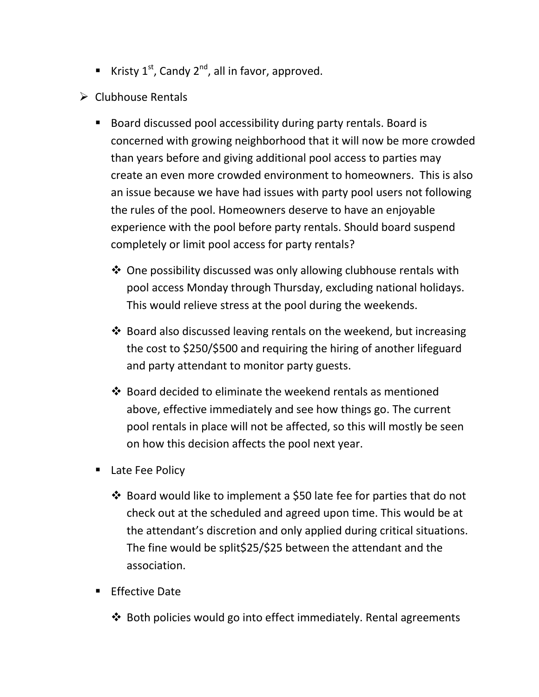- Kristy  $1^{st}$ , Candy  $2^{nd}$ , all in favor, approved.
- $\triangleright$  Clubhouse Rentals
	- Board discussed pool accessibility during party rentals. Board is concerned with growing neighborhood that it will now be more crowded than years before and giving additional pool access to parties may create an even more crowded environment to homeowners. This is also an issue because we have had issues with party pool users not following the rules of the pool. Homeowners deserve to have an enjoyable experience with the pool before party rentals. Should board suspend completely or limit pool access for party rentals?
		- $\triangle$  One possibility discussed was only allowing clubhouse rentals with pool access Monday through Thursday, excluding national holidays. This would relieve stress at the pool during the weekends.
		- $\cdot$  Board also discussed leaving rentals on the weekend, but increasing the cost to \$250/\$500 and requiring the hiring of another lifeguard and party attendant to monitor party guests.
		- $\cdot$  Board decided to eliminate the weekend rentals as mentioned above, effective immediately and see how things go. The current pool rentals in place will not be affected, so this will mostly be seen on how this decision affects the pool next year.
	- **E** Late Fee Policy
		- $\cdot$  Board would like to implement a \$50 late fee for parties that do not check out at the scheduled and agreed upon time. This would be at the attendant's discretion and only applied during critical situations. The fine would be split\$25/\$25 between the attendant and the association.
	- **Effective Date** 
		- Both policies would go into effect immediately. Rental agreements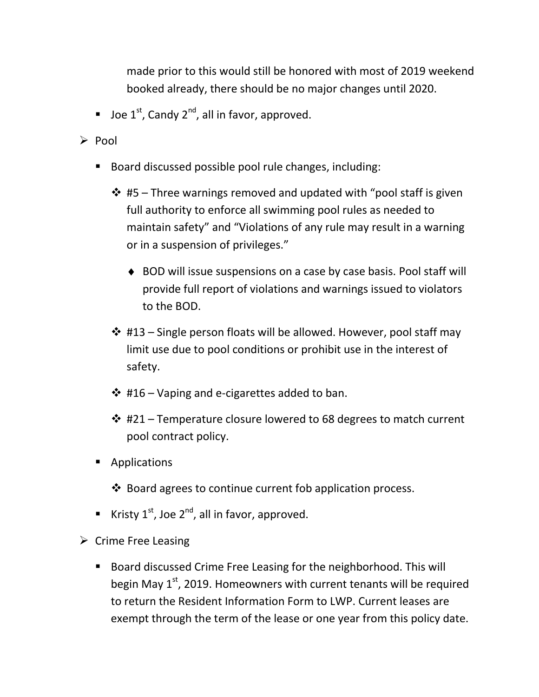made prior to this would still be honored with most of 2019 weekend booked already, there should be no major changes until 2020.

**Joe 1st, Candy 2<sup>nd</sup>, all in favor, approved.** 

 $\triangleright$  Pool

- Board discussed possible pool rule changes, including:
	- $\div$  #5 Three warnings removed and updated with "pool staff is given full authority to enforce all swimming pool rules as needed to maintain safety" and "Violations of any rule may result in a warning or in a suspension of privileges."
		- ♦ BOD will issue suspensions on a case by case basis. Pool staff will provide full report of violations and warnings issued to violators to the BOD.
	- $\div$  #13 Single person floats will be allowed. However, pool staff may limit use due to pool conditions or prohibit use in the interest of safety.
	- $\div$  #16 Vaping and e-cigarettes added to ban.
	- $\cdot$  #21 Temperature closure lowered to 68 degrees to match current pool contract policy.
- **Applications** 
	- $\triangle$  Board agrees to continue current fob application process.
- Kristy  $1^{st}$ , Joe  $2^{nd}$ , all in favor, approved.
- $\triangleright$  Crime Free Leasing
	- Board discussed Crime Free Leasing for the neighborhood. This will begin May  $1<sup>st</sup>$ , 2019. Homeowners with current tenants will be required to return the Resident Information Form to LWP. Current leases are exempt through the term of the lease or one year from this policy date.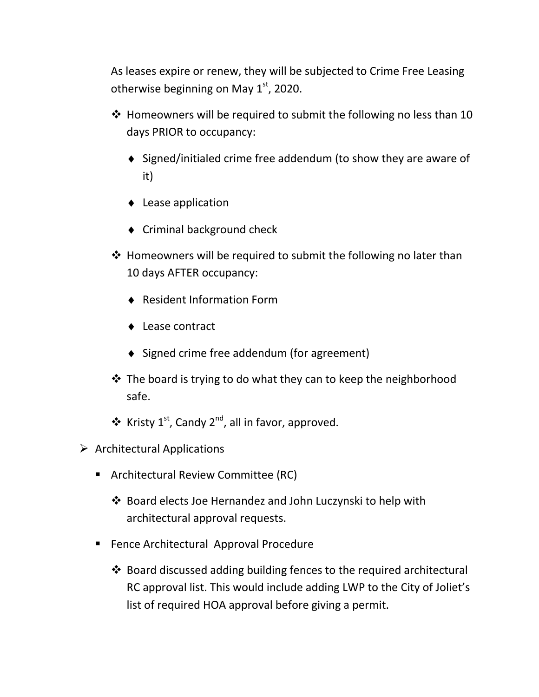As leases expire or renew, they will be subjected to Crime Free Leasing otherwise beginning on May  $1<sup>st</sup>$ , 2020.

- ❖ Homeowners will be required to submit the following no less than 10 days PRIOR to occupancy:
	- ♦ Signed/initialed crime free addendum (to show they are aware of it)
	- ♦ Lease application
	- ♦ Criminal background check
- $\cdot$  Homeowners will be required to submit the following no later than 10 days AFTER occupancy:
	- ♦ Resident Information Form
	- ♦ Lease contract
	- ♦ Signed crime free addendum (for agreement)
- $\cdot$  The board is trying to do what they can to keep the neighborhood safe.
- $\triangleq$  Kristy 1<sup>st</sup>, Candy 2<sup>nd</sup>, all in favor, approved.
- $\triangleright$  Architectural Applications
	- **Architectural Review Committee (RC)** 
		- Board elects Joe Hernandez and John Luczynski to help with architectural approval requests.
	- **Fence Architectural Approval Procedure** 
		- ❖ Board discussed adding building fences to the required architectural RC approval list. This would include adding LWP to the City of Joliet's list of required HOA approval before giving a permit.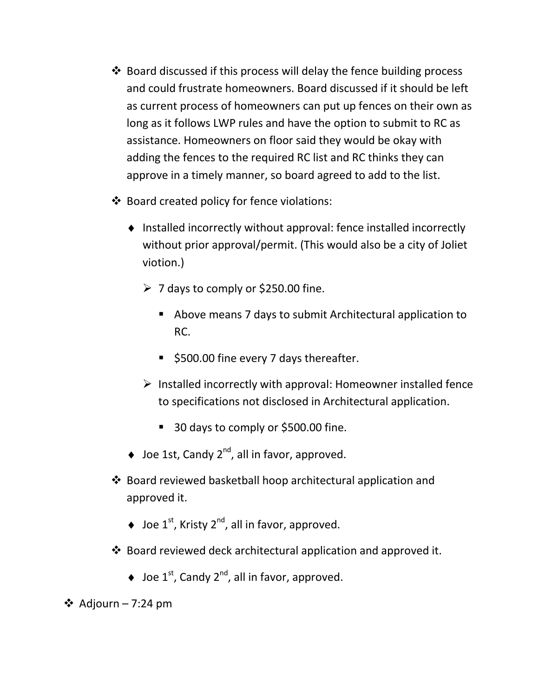- Board discussed if this process will delay the fence building process and could frustrate homeowners. Board discussed if it should be left as current process of homeowners can put up fences on their own as long as it follows LWP rules and have the option to submit to RC as assistance. Homeowners on floor said they would be okay with adding the fences to the required RC list and RC thinks they can approve in a timely manner, so board agreed to add to the list.
- Board created policy for fence violations:
	- ♦ Installed incorrectly without approval: fence installed incorrectly without prior approval/permit. (This would also be a city of Joliet viotion.)
		- $\geq 7$  days to comply or \$250.00 fine.
			- Above means 7 days to submit Architectural application to RC.
			- S500.00 fine every 7 days thereafter.
		- $\triangleright$  Installed incorrectly with approval: Homeowner installed fence to specifications not disclosed in Architectural application.
			- 30 days to comply or \$500.00 fine.
	- $\triangleq$  Joe 1st, Candy 2<sup>nd</sup>, all in favor, approved.
- Board reviewed basketball hoop architectural application and approved it.
	- $\blacklozenge$  Joe 1<sup>st</sup>, Kristy 2<sup>nd</sup>, all in favor, approved.
- Board reviewed deck architectural application and approved it.
	- $\triangleq$  Joe 1<sup>st</sup>, Candy 2<sup>nd</sup>, all in favor, approved.

<sup>❖</sup> Adjourn – 7:24 pm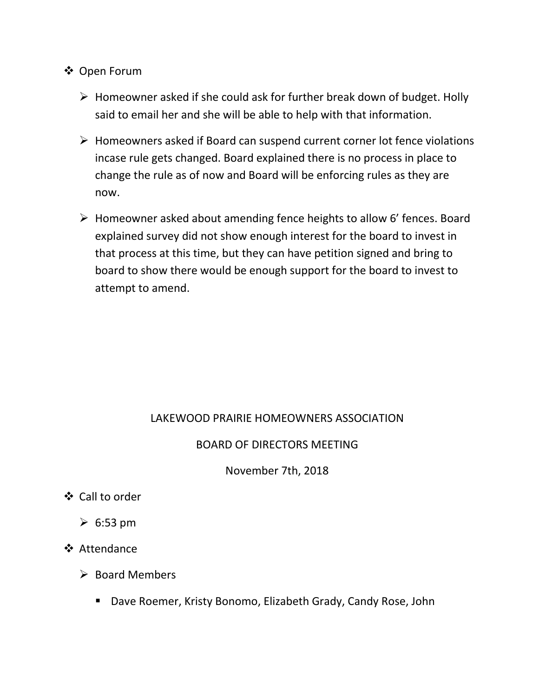## Open Forum

- $\triangleright$  Homeowner asked if she could ask for further break down of budget. Holly said to email her and she will be able to help with that information.
- $\triangleright$  Homeowners asked if Board can suspend current corner lot fence violations incase rule gets changed. Board explained there is no process in place to change the rule as of now and Board will be enforcing rules as they are now.
- Homeowner asked about amending fence heights to allow 6' fences. Board explained survey did not show enough interest for the board to invest in that process at this time, but they can have petition signed and bring to board to show there would be enough support for the board to invest to attempt to amend.

### LAKEWOOD PRAIRIE HOMEOWNERS ASSOCIATION

### BOARD OF DIRECTORS MEETING

November 7th, 2018

- Call to order
	- $\geqslant 6:53$  pm
- **❖** Attendance
	- $\triangleright$  Board Members
		- Dave Roemer, Kristy Bonomo, Elizabeth Grady, Candy Rose, John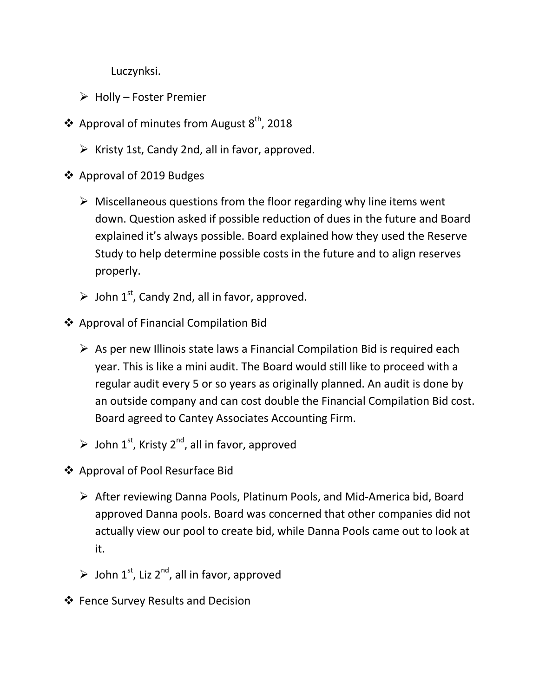Luczynksi.

- $\triangleright$  Holly Foster Premier
- $\triangleq$  Approval of minutes from August 8<sup>th</sup>, 2018
	- $\triangleright$  Kristy 1st, Candy 2nd, all in favor, approved.
- ❖ Approval of 2019 Budges
	- $\triangleright$  Miscellaneous questions from the floor regarding why line items went down. Question asked if possible reduction of dues in the future and Board explained it's always possible. Board explained how they used the Reserve Study to help determine possible costs in the future and to align reserves properly.
	- $\triangleright$  John 1<sup>st</sup>, Candy 2nd, all in favor, approved.
- Approval of Financial Compilation Bid
	- $\triangleright$  As per new Illinois state laws a Financial Compilation Bid is required each year. This is like a mini audit. The Board would still like to proceed with a regular audit every 5 or so years as originally planned. An audit is done by an outside company and can cost double the Financial Compilation Bid cost. Board agreed to Cantey Associates Accounting Firm.
	- $\triangleright$  John 1<sup>st</sup>, Kristy 2<sup>nd</sup>, all in favor, approved
- Approval of Pool Resurface Bid
	- $\triangleright$  After reviewing Danna Pools, Platinum Pools, and Mid-America bid, Board approved Danna pools. Board was concerned that other companies did not actually view our pool to create bid, while Danna Pools came out to look at it.
	- $\triangleright$  John 1<sup>st</sup>, Liz 2<sup>nd</sup>, all in favor, approved
- Fence Survey Results and Decision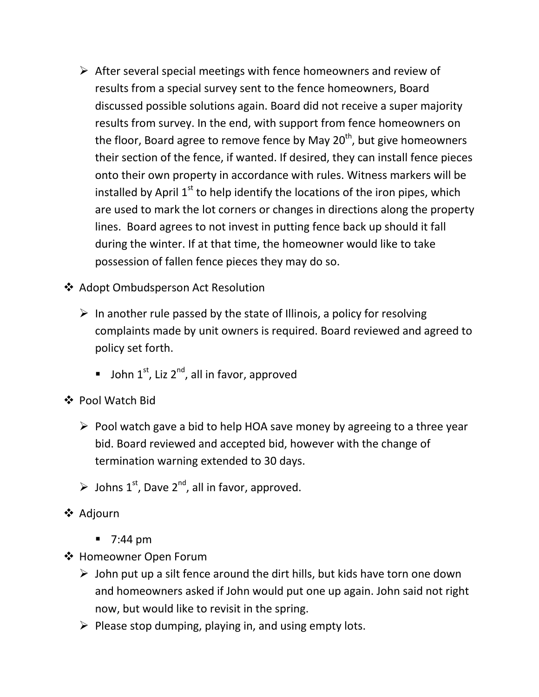- $\triangleright$  After several special meetings with fence homeowners and review of results from a special survey sent to the fence homeowners, Board discussed possible solutions again. Board did not receive a super majority results from survey. In the end, with support from fence homeowners on the floor, Board agree to remove fence by May  $20<sup>th</sup>$ , but give homeowners their section of the fence, if wanted. If desired, they can install fence pieces onto their own property in accordance with rules. Witness markers will be installed by April  $1<sup>st</sup>$  to help identify the locations of the iron pipes, which are used to mark the lot corners or changes in directions along the property lines. Board agrees to not invest in putting fence back up should it fall during the winter. If at that time, the homeowner would like to take possession of fallen fence pieces they may do so.
- ❖ Adopt Ombudsperson Act Resolution
	- $\triangleright$  In another rule passed by the state of Illinois, a policy for resolving complaints made by unit owners is required. Board reviewed and agreed to policy set forth.
		- **John 1st, Liz 2<sup>nd</sup>, all in favor, approved**
- Pool Watch Bid
	- $\triangleright$  Pool watch gave a bid to help HOA save money by agreeing to a three year bid. Board reviewed and accepted bid, however with the change of termination warning extended to 30 days.
	- $\triangleright$  Johns 1<sup>st</sup>, Dave 2<sup>nd</sup>, all in favor, approved.
- **❖** Adjourn
	- $\blacksquare$  7:44 pm
- ❖ Homeowner Open Forum
	- $\triangleright$  John put up a silt fence around the dirt hills, but kids have torn one down and homeowners asked if John would put one up again. John said not right now, but would like to revisit in the spring.
	- $\triangleright$  Please stop dumping, playing in, and using empty lots.